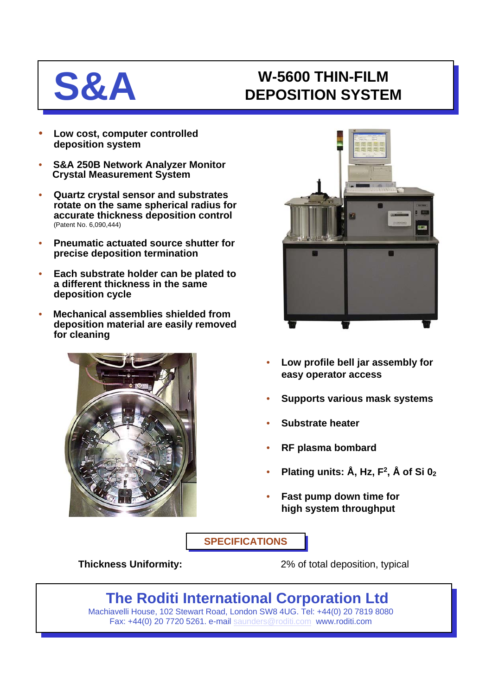## **S&A W-5600 THIN-FILM DEPOSITION SYSTEM**

- **Low cost, computer controlled deposition system**
- **S&A 250B Network Analyzer Monitor Crystal Measurement System**
- **Quartz crystal sensor and substrates rotate on the same spherical radius for accurate thickness deposition control** (Patent No. 6,090,444)
- **Pneumatic actuated source shutter for precise deposition termination**
- **Each substrate holder can be plated to a different thickness in the same deposition cycle**
- **Mechanical assemblies shielded from deposition material are easily removed for cleaning**





- **Low profile bell jar assembly for easy operator access**
- **Supports various mask systems**
- **Substrate heater**
- **RF plasma bombard**
- **Plating units: Å, Hz, F2, Å of Si 02**
- **Fast pump down time for high system throughput**

**SPECIFICATIONS**

**Thickness Uniformity:** 2% of total deposition, typical

## **The Roditi International Corporation Ltd**

Machiavelli House, 102 Stewart Road, London SW8 4UG. Tel: +44(0) 20 7819 8080 Fax: +44(0) 20 7720 5261. e-mail [saunders@roditi.com](mailto:saunders@roditi.com) www.roditi.com